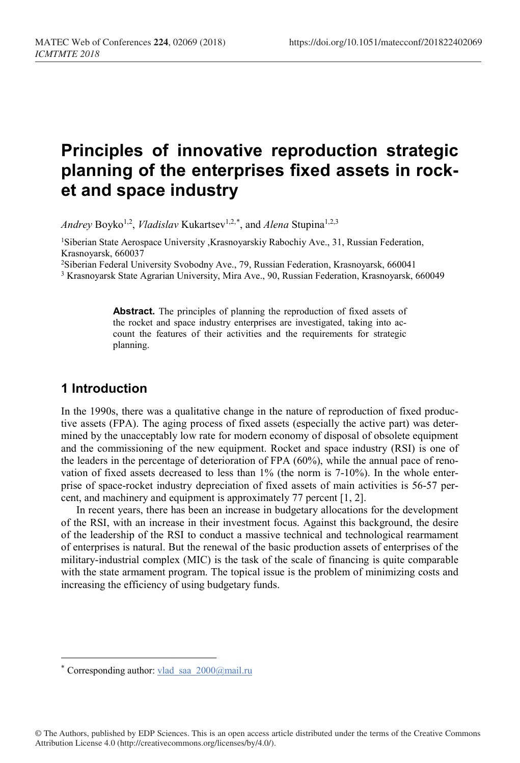# **Principles of innovative reproduction strategic planning of the enterprises fixed assets in rocket and space industry**

Andrey Boyko<sup>1,2</sup>, *Vladislav* Kukartsev<sup>1,2,[\\*](#page-0-0)</sup>, and *Alena* Stupina<sup>1,2,3</sup>

1Siberian State Aerospace University ,Krasnoyarskiy Rabochiy Ave., 31, Russian Federation, Krasnoyarsk, 660037

2Siberian Federal University Svobodny Ave., 79, Russian Federation, Krasnoyarsk, 660041

<sup>3</sup> Krasnoyarsk State Agrarian University, Mira Ave., 90, Russian Federation, Krasnoyarsk, 660049

**Abstract.** The principles of planning the reproduction of fixed assets of the rocket and space industry enterprises are investigated, taking into account the features of their activities and the requirements for strategic planning.

### **1 Introduction**

 $\overline{a}$ 

In the 1990s, there was a qualitative change in the nature of reproduction of fixed productive assets (FPA). The aging process of fixed assets (especially the active part) was determined by the unacceptably low rate for modern economy of disposal of obsolete equipment and the commissioning of the new equipment. Rocket and space industry (RSI) is one of the leaders in the percentage of deterioration of FPA (60%), while the annual pace of renovation of fixed assets decreased to less than 1% (the norm is 7-10%). In the whole enterprise of space-rocket industry depreciation of fixed assets of main activities is 56-57 percent, and machinery and equipment is approximately 77 percent [1, 2].

In recent years, there has been an increase in budgetary allocations for the development of the RSI, with an increase in their investment focus. Against this background, the desire of the leadership of the RSI to conduct a massive technical and technological rearmament of enterprises is natural. But the renewal of the basic production assets of enterprises of the military-industrial complex (MIC) is the task of the scale of financing is quite comparable with the state armament program. The topical issue is the problem of minimizing costs and increasing the efficiency of using budgetary funds.

<span id="page-0-0"></span><sup>\*</sup> Corresponding author: vlad\_saa\_2000@mail.ru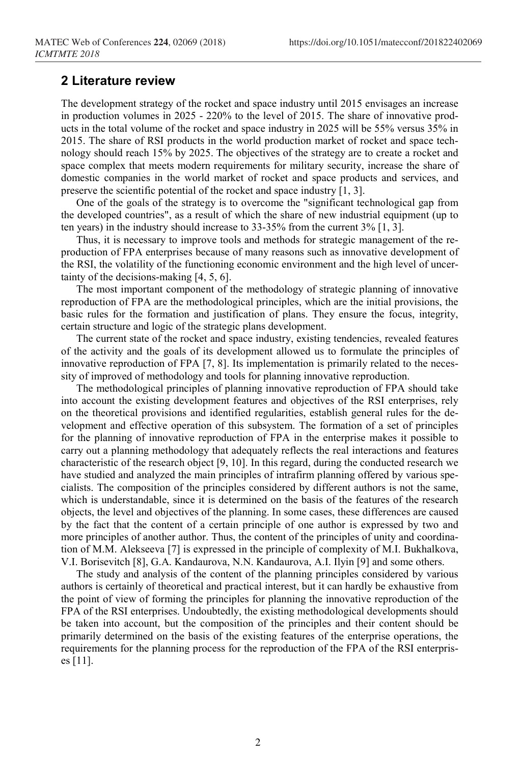#### **2 Literature review**

The development strategy of the rocket and space industry until 2015 envisages an increase in production volumes in 2025 - 220% to the level of 2015. The share of innovative products in the total volume of the rocket and space industry in 2025 will be 55% versus 35% in 2015. The share of RSI products in the world production market of rocket and space technology should reach 15% by 2025. The objectives of the strategy are to create a rocket and space complex that meets modern requirements for military security, increase the share of domestic companies in the world market of rocket and space products and services, and preserve the scientific potential of the rocket and space industry [1, 3].

One of the goals of the strategy is to overcome the "significant technological gap from the developed countries", as a result of which the share of new industrial equipment (up to ten years) in the industry should increase to 33-35% from the current 3% [1, 3].

Thus, it is necessary to improve tools and methods for strategic management of the reproduction of FPA enterprises because of many reasons such as innovative development of the RSI, the volatility of the functioning economic environment and the high level of uncertainty of the decisions-making [4, 5, 6].

The most important component of the methodology of strategic planning of innovative reproduction of FPA are the methodological principles, which are the initial provisions, the basic rules for the formation and justification of plans. They ensure the focus, integrity, certain structure and logic of the strategic plans development.

The current state of the rocket and space industry, existing tendencies, revealed features of the activity and the goals of its development allowed us to formulate the principles of innovative reproduction of FPA [7, 8]. Its implementation is primarily related to the necessity of improved of methodology and tools for planning innovative reproduction.

The methodological principles of planning innovative reproduction of FPA should take into account the existing development features and objectives of the RSI enterprises, rely on the theoretical provisions and identified regularities, establish general rules for the development and effective operation of this subsystem. The formation of a set of principles for the planning of innovative reproduction of FPA in the enterprise makes it possible to carry out a planning methodology that adequately reflects the real interactions and features characteristic of the research object [9, 10]. In this regard, during the conducted research we have studied and analyzed the main principles of intrafirm planning offered by various specialists. The composition of the principles considered by different authors is not the same, which is understandable, since it is determined on the basis of the features of the research objects, the level and objectives of the planning. In some cases, these differences are caused by the fact that the content of a certain principle of one author is expressed by two and more principles of another author. Thus, the content of the principles of unity and coordination of M.M. Alekseeva [7] is expressed in the principle of complexity of M.I. Bukhalkova, V.I. Borisevitch [8], G.A. Kandaurova, N.N. Kandaurova, A.I. Ilyin [9] and some others.

The study and analysis of the content of the planning principles considered by various authors is certainly of theoretical and practical interest, but it can hardly be exhaustive from the point of view of forming the principles for planning the innovative reproduction of the FPA of the RSI enterprises. Undoubtedly, the existing methodological developments should be taken into account, but the composition of the principles and their content should be primarily determined on the basis of the existing features of the enterprise operations, the requirements for the planning process for the reproduction of the FPA of the RSI enterprises [11].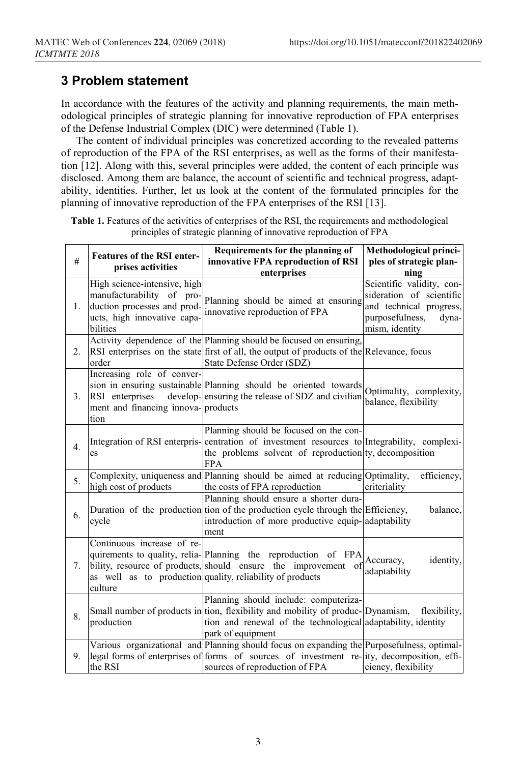## **3 Problem statement**

In accordance with the features of the activity and planning requirements, the main methodological principles of strategic planning for innovative reproduction of FPA enterprises of the Defense Industrial Complex (DIC) were determined (Table 1).

The content of individual principles was concretized according to the revealed patterns of reproduction of the FPA of the RSI enterprises, as well as the forms of their manifestation [12]. Along with this, several principles were added, the content of each principle was disclosed. Among them are balance, the account of scientific and technical progress, adaptability, identities. Further, let us look at the content of the formulated principles for the planning of innovative reproduction of the FPA enterprises of the RSI [13].

| #  | <b>Features of the RSI enter-</b><br>prises activities                                                                              | Requirements for the planning of<br>innovative FPA reproduction of RSI<br>enterprises                                                                                                                                      | Methodological princi-<br>ples of strategic plan-<br>ning                                                                      |
|----|-------------------------------------------------------------------------------------------------------------------------------------|----------------------------------------------------------------------------------------------------------------------------------------------------------------------------------------------------------------------------|--------------------------------------------------------------------------------------------------------------------------------|
| 1. | High science-intensive, high<br>manufacturability of pro-<br>duction processes and prod-<br>ucts, high innovative capa-<br>bilities | Planning should be aimed at ensuring<br>innovative reproduction of FPA                                                                                                                                                     | Scientific validity, con-<br>sideration of scientific<br>and technical progress,<br>purposefulness,<br>dyna-<br>mism, identity |
| 2. | order                                                                                                                               | Activity dependence of the Planning should be focused on ensuring,<br>RSI enterprises on the state first of all, the output of products of the Relevance, focus<br>State Defense Order (SDZ)                               |                                                                                                                                |
| 3. | Increasing role of conver-<br>RSI enterprises<br>ment and financing innova-products<br>tion                                         | sion in ensuring sustainable Planning should be oriented towards<br>develop-ensuring the release of SDZ and civilian                                                                                                       | Optimality, complexity,<br>balance, flexibility                                                                                |
| 4. | es                                                                                                                                  | Planning should be focused on the con-<br>Integration of RSI enterpris- centration of investment resources to Integrability, complexi-<br>the problems solvent of reproduction ty, decomposition<br><b>FPA</b>             |                                                                                                                                |
| 5. | high cost of products                                                                                                               | Complexity, uniqueness and Planning should be aimed at reducing Optimality,<br>the costs of FPA reproduction                                                                                                               | efficiency,<br>criteriality                                                                                                    |
| 6. | cycle                                                                                                                               | Planning should ensure a shorter dura-<br>Duration of the production tion of the production cycle through the Efficiency,<br>introduction of more productive equip-adaptability<br>ment                                    | balance,                                                                                                                       |
| 7. | Continuous increase of re-<br>culture                                                                                               | quirements to quality, relia-Planning the reproduction of FPA<br>bility, resource of products, should ensure the improvement of<br>as well as to production quality, reliability of products                               | Accuracy,<br>identity,<br>adaptability                                                                                         |
| 8. | production                                                                                                                          | Planning should include: computeriza-<br>Small number of products in tion, flexibility and mobility of produc-Dynamism,<br>tion and renewal of the technological adaptability, identity<br>park of equipment               | flexibility,                                                                                                                   |
| 9. | the RSI                                                                                                                             | Various organizational and Planning should focus on expanding the Purposefulness, optimal-<br>legal forms of enterprises of forms of sources of investment re-lity, decomposition, effi-<br>sources of reproduction of FPA | ciency, flexibility                                                                                                            |

**Table 1.** Features of the activities of enterprises of the RSI, the requirements and methodological principles of strategic planning of innovative reproduction of FPA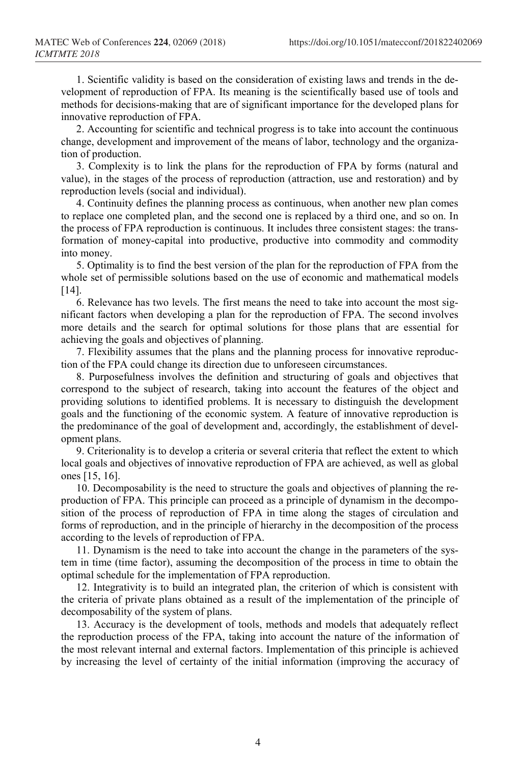1. Scientific validity is based on the consideration of existing laws and trends in the development of reproduction of FPA. Its meaning is the scientifically based use of tools and methods for decisions-making that are of significant importance for the developed plans for innovative reproduction of FPA.

2. Accounting for scientific and technical progress is to take into account the continuous change, development and improvement of the means of labor, technology and the organization of production.

3. Complexity is to link the plans for the reproduction of FPA by forms (natural and value), in the stages of the process of reproduction (attraction, use and restoration) and by reproduction levels (social and individual).

4. Continuity defines the planning process as continuous, when another new plan comes to replace one completed plan, and the second one is replaced by a third one, and so on. In the process of FPA reproduction is continuous. It includes three consistent stages: the transformation of money-capital into productive, productive into commodity and commodity into money.

5. Optimality is to find the best version of the plan for the reproduction of FPA from the whole set of permissible solutions based on the use of economic and mathematical models [14].

6. Relevance has two levels. The first means the need to take into account the most significant factors when developing a plan for the reproduction of FPA. The second involves more details and the search for optimal solutions for those plans that are essential for achieving the goals and objectives of planning.

7. Flexibility assumes that the plans and the planning process for innovative reproduction of the FPA could change its direction due to unforeseen circumstances.

8. Purposefulness involves the definition and structuring of goals and objectives that correspond to the subject of research, taking into account the features of the object and providing solutions to identified problems. It is necessary to distinguish the development goals and the functioning of the economic system. A feature of innovative reproduction is the predominance of the goal of development and, accordingly, the establishment of development plans.

9. Criterionality is to develop a criteria or several criteria that reflect the extent to which local goals and objectives of innovative reproduction of FPA are achieved, as well as global ones [15, 16].

10. Decomposability is the need to structure the goals and objectives of planning the reproduction of FPA. This principle can proceed as a principle of dynamism in the decomposition of the process of reproduction of FPA in time along the stages of circulation and forms of reproduction, and in the principle of hierarchy in the decomposition of the process according to the levels of reproduction of FPA.

11. Dynamism is the need to take into account the change in the parameters of the system in time (time factor), assuming the decomposition of the process in time to obtain the optimal schedule for the implementation of FPA reproduction.

12. Integrativity is to build an integrated plan, the criterion of which is consistent with the criteria of private plans obtained as a result of the implementation of the principle of decomposability of the system of plans.

13. Accuracy is the development of tools, methods and models that adequately reflect the reproduction process of the FPA, taking into account the nature of the information of the most relevant internal and external factors. Implementation of this principle is achieved by increasing the level of certainty of the initial information (improving the accuracy of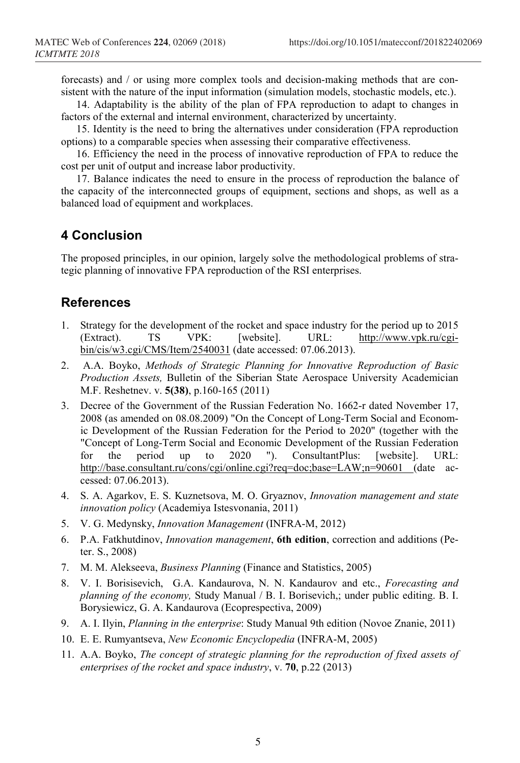forecasts) and / or using more complex tools and decision-making methods that are consistent with the nature of the input information (simulation models, stochastic models, etc.).

14. Adaptability is the ability of the plan of FPA reproduction to adapt to changes in factors of the external and internal environment, characterized by uncertainty.

15. Identity is the need to bring the alternatives under consideration (FPA reproduction options) to a comparable species when assessing their comparative effectiveness.

16. Efficiency the need in the process of innovative reproduction of FPA to reduce the cost per unit of output and increase labor productivity.

17. Balance indicates the need to ensure in the process of reproduction the balance of the capacity of the interconnected groups of equipment, sections and shops, as well as a balanced load of equipment and workplaces.

#### **4 Conclusion**

The proposed principles, in our opinion, largely solve the methodological problems of strategic planning of innovative FPA reproduction of the RSI enterprises.

### **References**

- 1. Strategy for the development of the rocket and space industry for the period up to 2015<br>(Extract). TS VPK: [website]. URL: http://www.ypk.ru/cgiTS VPK: [website]. URL: [http://www.vpk.ru/cgi](http://www.vpk.ru/cgi-bin/cis/w3.cgi/CMS/Item/2540031)[bin/cis/w3.cgi/CMS/Item/2540031](http://www.vpk.ru/cgi-bin/cis/w3.cgi/CMS/Item/2540031) (date accessed: 07.06.2013).
- 2. A.A. Boyko, *[Methods of Strategic Planning for Innovative Reproduction of Basic](https://elibrary.ru/item.asp?id=17681249)  [Production Assets,](https://elibrary.ru/item.asp?id=17681249)* [Bulletin of the Siberian State Aerospace University Academician](https://elibrary.ru/contents.asp?issueid=1013896)  [M.F. Reshetnev.](https://elibrary.ru/contents.asp?issueid=1013896) v. **[5\(38\)](https://elibrary.ru/contents.asp?issueid=1013896&selid=17681249)**, p.160-165 (2011)
- 3. Decree of the Government of the Russian Federation No. 1662-r dated November 17, 2008 (as amended on 08.08.2009) "On the Concept of Long-Term Social and Economic Development of the Russian Federation for the Period to 2020" (together with the "Concept of Long-Term Social and Economic Development of the Russian Federation<br>for the period up to 2020 "). ConsultantPlus: [website]. URL: for the period up to 2020 "). ConsultantPlus: [website]. URL: [http://base.consultant.ru/cons/cgi/online.cgi?req=doc;base=LAW;n=90601 \(](http://base.consultant.ru/cons/cgi/online.cgi?req=doc;base=LAW;n=90601)date accessed: 07.06.2013).
- 4. S. A. Agarkov, E. S. Kuznetsova, M. O. Gryaznov, *Innovation management and state innovation policy* (Academiya Istesvonania, 2011)
- 5. V. G. Medynsky, *Innovation Management* (INFRA-M, 2012)
- 6. P.A. Fatkhutdinov, *Innovation management*, **6th edition**, correction and additions (Peter. S., 2008)
- 7. M. M. Alekseeva, *Business Planning* (Finance and Statistics, 2005)
- 8. V. I. Borisisevich, G.A. Kandaurova, N. N. Kandaurov and etc., *Forecasting and planning of the economy,* Study Manual / B. I. Borisevich,; under public editing. B. I. Borysiewicz, G. A. Kandaurova (Ecoprespectiva, 2009)
- 9. A. I. Ilyin, *Planning in the enterprise*: Study Manual 9th edition (Novoe Znanie, 2011)
- 10. E. E. Rumyantseva, *New Economic Encyclopedia* (INFRA-M, 2005)
- 11. A.A. Boyko, *[The concept of strategic planning for the reproduction of fixed assets of](https://elibrary.ru/item.asp?id=20808727)  [enterprises of the rocket and space industry](https://elibrary.ru/item.asp?id=20808727)*, [v.](https://elibrary.ru/contents.asp?issueid=436019&selid=9515088) **70**, p.22 (2013)